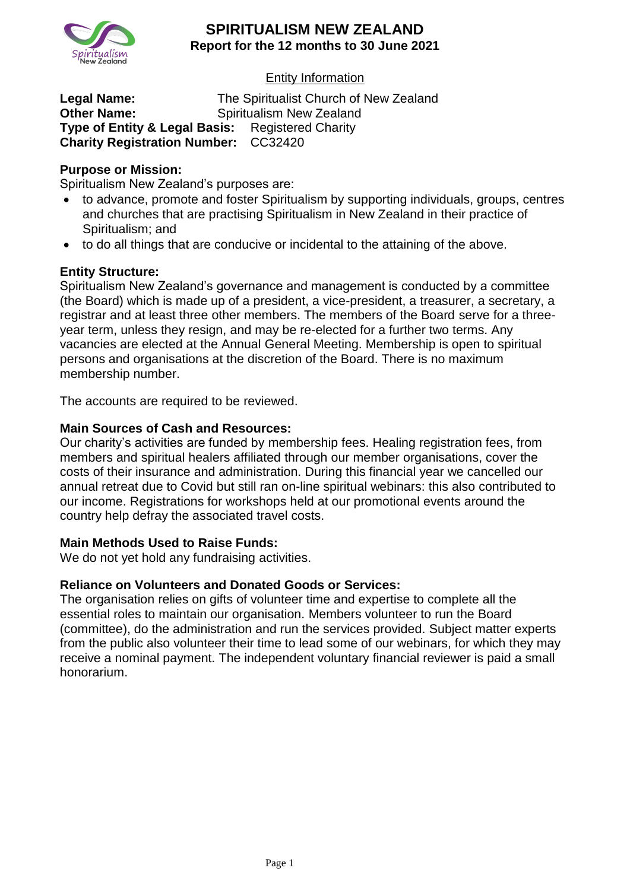

## Entity Information

**Legal Name:** The Spiritualist Church of New Zealand **Other Name:** Spiritualism New Zealand **Type of Entity & Legal Basis:** Registered Charity **Charity Registration Number:** CC32420

#### **Purpose or Mission:**

Spiritualism New Zealand's purposes are:

- to advance, promote and foster Spiritualism by supporting individuals, groups, centres and churches that are practising Spiritualism in New Zealand in their practice of Spiritualism; and
- to do all things that are conducive or incidental to the attaining of the above.

### **Entity Structure:**

Spiritualism New Zealand's governance and management is conducted by a committee (the Board) which is made up of a president, a vice-president, a treasurer, a secretary, a registrar and at least three other members. The members of the Board serve for a threeyear term, unless they resign, and may be re-elected for a further two terms. Any vacancies are elected at the Annual General Meeting. Membership is open to spiritual persons and organisations at the discretion of the Board. There is no maximum membership number.

The accounts are required to be reviewed.

#### **Main Sources of Cash and Resources:**

Our charity's activities are funded by membership fees. Healing registration fees, from members and spiritual healers affiliated through our member organisations, cover the costs of their insurance and administration. During this financial year we cancelled our annual retreat due to Covid but still ran on-line spiritual webinars: this also contributed to our income. Registrations for workshops held at our promotional events around the country help defray the associated travel costs.

#### **Main Methods Used to Raise Funds:**

We do not yet hold any fundraising activities.

#### **Reliance on Volunteers and Donated Goods or Services:**

The organisation relies on gifts of volunteer time and expertise to complete all the essential roles to maintain our organisation. Members volunteer to run the Board (committee), do the administration and run the services provided. Subject matter experts from the public also volunteer their time to lead some of our webinars, for which they may receive a nominal payment. The independent voluntary financial reviewer is paid a small honorarium.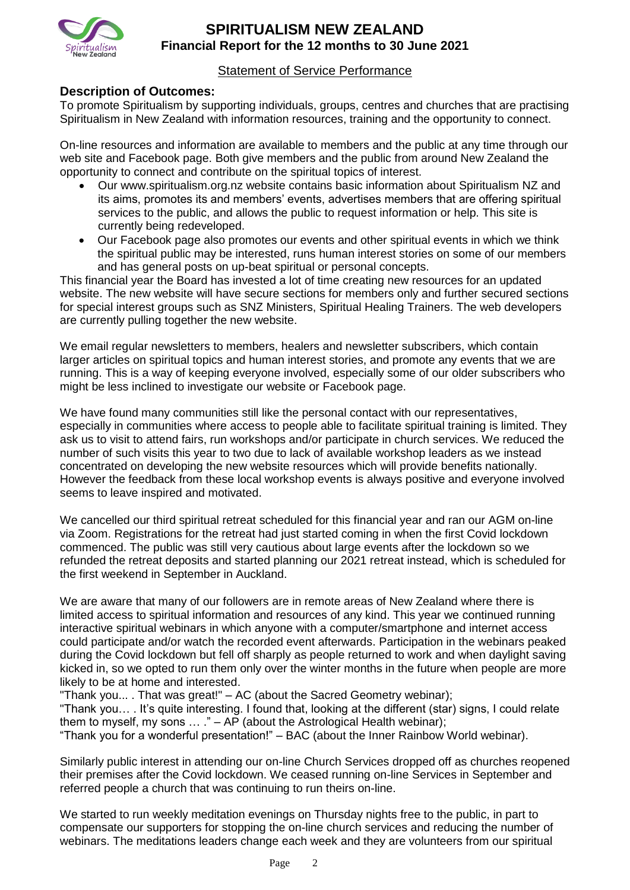

### Statement of Service Performance

### **Description of Outcomes:**

To promote Spiritualism by supporting individuals, groups, centres and churches that are practising Spiritualism in New Zealand with information resources, training and the opportunity to connect.

On-line resources and information are available to members and the public at any time through our web site and Facebook page. Both give members and the public from around New Zealand the opportunity to connect and contribute on the spiritual topics of interest.

- Our www.spiritualism.org.nz website contains basic information about Spiritualism NZ and its aims, promotes its and members' events, advertises members that are offering spiritual services to the public, and allows the public to request information or help. This site is currently being redeveloped.
- Our Facebook page also promotes our events and other spiritual events in which we think the spiritual public may be interested, runs human interest stories on some of our members and has general posts on up-beat spiritual or personal concepts.

This financial year the Board has invested a lot of time creating new resources for an updated website. The new website will have secure sections for members only and further secured sections for special interest groups such as SNZ Ministers, Spiritual Healing Trainers. The web developers are currently pulling together the new website.

We email regular newsletters to members, healers and newsletter subscribers, which contain larger articles on spiritual topics and human interest stories, and promote any events that we are running. This is a way of keeping everyone involved, especially some of our older subscribers who might be less inclined to investigate our website or Facebook page.

We have found many communities still like the personal contact with our representatives, especially in communities where access to people able to facilitate spiritual training is limited. They ask us to visit to attend fairs, run workshops and/or participate in church services. We reduced the number of such visits this year to two due to lack of available workshop leaders as we instead concentrated on developing the new website resources which will provide benefits nationally. However the feedback from these local workshop events is always positive and everyone involved seems to leave inspired and motivated.

We cancelled our third spiritual retreat scheduled for this financial year and ran our AGM on-line via Zoom. Registrations for the retreat had just started coming in when the first Covid lockdown commenced. The public was still very cautious about large events after the lockdown so we refunded the retreat deposits and started planning our 2021 retreat instead, which is scheduled for the first weekend in September in Auckland.

We are aware that many of our followers are in remote areas of New Zealand where there is limited access to spiritual information and resources of any kind. This year we continued running interactive spiritual webinars in which anyone with a computer/smartphone and internet access could participate and/or watch the recorded event afterwards. Participation in the webinars peaked during the Covid lockdown but fell off sharply as people returned to work and when daylight saving kicked in, so we opted to run them only over the winter months in the future when people are more likely to be at home and interested.

"Thank you... . That was great!" – AC (about the Sacred Geometry webinar);

"Thank you… . It's quite interesting. I found that, looking at the different (star) signs, I could relate them to myself, my sons  $\dots$  ." – AP (about the Astrological Health webinar);

"Thank you for a wonderful presentation!" – BAC (about the Inner Rainbow World webinar).

Similarly public interest in attending our on-line Church Services dropped off as churches reopened their premises after the Covid lockdown. We ceased running on-line Services in September and referred people a church that was continuing to run theirs on-line.

We started to run weekly meditation evenings on Thursday nights free to the public, in part to compensate our supporters for stopping the on-line church services and reducing the number of webinars. The meditations leaders change each week and they are volunteers from our spiritual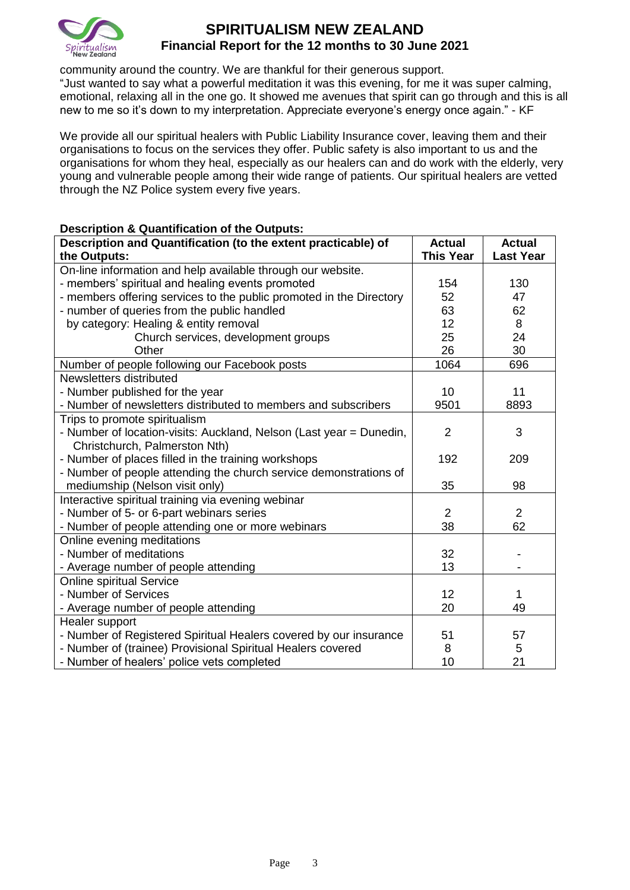

community around the country. We are thankful for their generous support.

"Just wanted to say what a powerful meditation it was this evening, for me it was super calming, emotional, relaxing all in the one go. It showed me avenues that spirit can go through and this is all new to me so it's down to my interpretation. Appreciate everyone's energy once again." - KF

We provide all our spiritual healers with Public Liability Insurance cover, leaving them and their organisations to focus on the services they offer. Public safety is also important to us and the organisations for whom they heal, especially as our healers can and do work with the elderly, very young and vulnerable people among their wide range of patients. Our spiritual healers are vetted through the NZ Police system every five years.

#### **Description & Quantification of the Outputs:**

| Description and Quantification (to the extent practicable) of       | <b>Actual</b>    | <b>Actual</b>    |
|---------------------------------------------------------------------|------------------|------------------|
| the Outputs:                                                        | <b>This Year</b> | <b>Last Year</b> |
| On-line information and help available through our website.         |                  |                  |
| - members' spiritual and healing events promoted                    | 154              | 130              |
| - members offering services to the public promoted in the Directory | 52               | 47               |
| - number of queries from the public handled                         | 63               | 62               |
| by category: Healing & entity removal                               | 12               | 8                |
| Church services, development groups                                 | 25               | 24               |
| Other                                                               | 26               | 30               |
| Number of people following our Facebook posts                       | 1064             | 696              |
| Newsletters distributed                                             |                  |                  |
| - Number published for the year                                     | 10               | 11               |
| - Number of newsletters distributed to members and subscribers      | 9501             | 8893             |
| Trips to promote spiritualism                                       |                  |                  |
| - Number of location-visits: Auckland, Nelson (Last year = Dunedin, | $\overline{2}$   | 3                |
| Christchurch, Palmerston Nth)                                       |                  |                  |
| - Number of places filled in the training workshops                 | 192              | 209              |
| - Number of people attending the church service demonstrations of   |                  |                  |
| mediumship (Nelson visit only)                                      | 35               | 98               |
| Interactive spiritual training via evening webinar                  |                  |                  |
| - Number of 5- or 6-part webinars series                            | $\overline{2}$   | $\overline{2}$   |
| - Number of people attending one or more webinars                   | 38               | 62               |
| Online evening meditations                                          |                  |                  |
| - Number of meditations                                             | 32               |                  |
| - Average number of people attending                                | 13               |                  |
| <b>Online spiritual Service</b>                                     |                  |                  |
| - Number of Services                                                | 12               | 1                |
| - Average number of people attending                                | 20               | 49               |
| Healer support                                                      |                  |                  |
| - Number of Registered Spiritual Healers covered by our insurance   | 51               | 57               |
| - Number of (trainee) Provisional Spiritual Healers covered         | 8                | 5                |
| - Number of healers' police vets completed                          | 10               | 21               |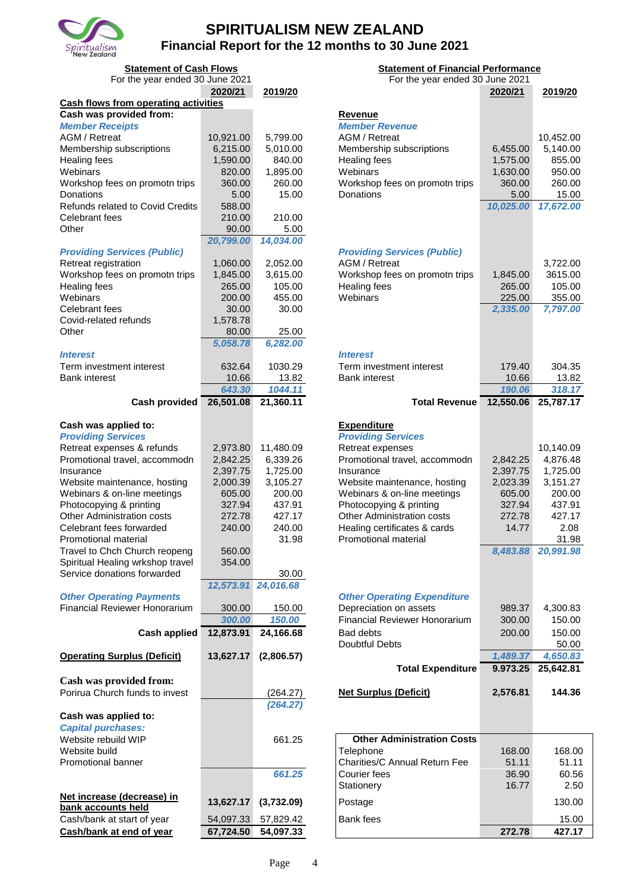

| <b>Statement of Cash Flows</b><br><b>Statement of Financial Performance</b> |                    |                     |                                                             |                    |                    |
|-----------------------------------------------------------------------------|--------------------|---------------------|-------------------------------------------------------------|--------------------|--------------------|
| For the year ended 30 June 2021                                             | 2020/21            | 2019/20             | For the year ended 30 June 2021                             | 2020/21            | 2019/20            |
| <b>Cash flows from operating activities</b>                                 |                    |                     |                                                             |                    |                    |
| Cash was provided from:                                                     |                    |                     | <b>Revenue</b>                                              |                    |                    |
| <b>Member Receipts</b>                                                      |                    |                     | <b>Member Revenue</b>                                       |                    |                    |
| <b>AGM / Retreat</b>                                                        | 10,921.00          | 5,799.00            | AGM / Retreat                                               |                    | 10,452.00          |
| Membership subscriptions                                                    | 6,215.00           | 5,010.00            | Membership subscriptions                                    | 6,455.00           | 5,140.00           |
| <b>Healing fees</b>                                                         | 1,590.00           | 840.00              | <b>Healing fees</b>                                         | 1,575.00           | 855.00             |
| Webinars                                                                    | 820.00             | 1,895.00            | Webinars                                                    | 1,630.00           | 950.00             |
| Workshop fees on promotn trips                                              | 360.00             | 260.00              | Workshop fees on promotn trips                              | 360.00             | 260.00             |
| Donations<br>Refunds related to Covid Credits                               | 5.00<br>588.00     | 15.00               | Donations                                                   | 5.00<br>10,025.00  | 15.00<br>17,672.00 |
| Celebrant fees                                                              | 210.00             | 210.00              |                                                             |                    |                    |
| Other                                                                       | 90.00              | 5.00                |                                                             |                    |                    |
|                                                                             | 20,799.00          | 14,034.00           |                                                             |                    |                    |
| <b>Providing Services (Public)</b>                                          |                    |                     | <b>Providing Services (Public)</b>                          |                    |                    |
| Retreat registration                                                        | 1,060.00           | 2,052.00            | AGM / Retreat                                               |                    | 3,722.00           |
| Workshop fees on promotn trips                                              | 1,845.00           | 3,615.00            | Workshop fees on promotn trips                              | 1,845.00           | 3615.00            |
| Healing fees                                                                | 265.00             | 105.00              | Healing fees                                                | 265.00             | 105.00             |
| Webinars                                                                    | 200.00             | 455.00              | Webinars                                                    | 225.00             | 355.00             |
| <b>Celebrant fees</b>                                                       | 30.00              | 30.00               |                                                             | 2,335.00           | 7,797.00           |
| Covid-related refunds                                                       | 1,578.78           |                     |                                                             |                    |                    |
| Other                                                                       | 80.00              | 25.00               |                                                             |                    |                    |
|                                                                             | 5,058.78           | 6,282.00            |                                                             |                    |                    |
| <i><b>Interest</b></i>                                                      |                    |                     | <b>Interest</b>                                             |                    |                    |
| Term investment interest                                                    | 632.64             | 1030.29             | Term investment interest                                    | 179.40             | 304.35             |
| <b>Bank interest</b>                                                        | 10.66<br>643.30    | 13.82<br>1044.11    | <b>Bank interest</b>                                        | 10.66<br>190.06    | 13.82<br>318.17    |
| <b>Cash provided</b>                                                        | 26,501.08          | 21,360.11           | <b>Total Revenue</b>                                        | 12,550.06          | 25,787.17          |
|                                                                             |                    |                     |                                                             |                    |                    |
| Cash was applied to:                                                        |                    |                     | <b>Expenditure</b>                                          |                    |                    |
| <b>Providing Services</b>                                                   |                    |                     | <b>Providing Services</b>                                   |                    |                    |
| Retreat expenses & refunds                                                  | 2,973.80           | 11,480.09           | Retreat expenses                                            |                    | 10,140.09          |
| Promotional travel, accommodn                                               | 2,842.25           | 6,339.26            | Promotional travel, accommodn                               | 2,842.25           | 4,876.48           |
| Insurance                                                                   | 2,397.75           | 1,725.00            | Insurance                                                   | 2,397.75           | 1,725.00           |
| Website maintenance, hosting                                                | 2,000.39<br>605.00 | 3,105.27<br>200.00  | Website maintenance, hosting<br>Webinars & on-line meetings | 2,023.39<br>605.00 | 3,151.27<br>200.00 |
| Webinars & on-line meetings<br>Photocopying & printing                      | 327.94             | 437.91              | Photocopying & printing                                     | 327.94             | 437.91             |
| <b>Other Administration costs</b>                                           | 272.78             | 427.17              | Other Administration costs                                  | 272.78             | 427.17             |
| Celebrant fees forwarded                                                    | 240.00             | 240.00              | Healing certificates & cards                                | 14.77              | 2.08               |
| Promotional material                                                        |                    | 31.98               | Promotional material                                        |                    | 31.98              |
| Travel to Chch Church reopeng                                               | 560.00             |                     |                                                             | 8,483.88           | 20,991.98          |
| Spiritual Healing wrkshop travel                                            | 354.00             |                     |                                                             |                    |                    |
| Service donations forwarded                                                 |                    | 30.00               |                                                             |                    |                    |
|                                                                             |                    | 12,573.91 24,016.68 |                                                             |                    |                    |
| <b>Other Operating Payments</b>                                             |                    |                     | <b>Other Operating Expenditure</b>                          |                    |                    |
| <b>Financial Reviewer Honorarium</b>                                        | 300.00             | 150.00              | Depreciation on assets                                      | 989.37             | 4,300.83           |
|                                                                             | 300.00             | 150.00              | <b>Financial Reviewer Honorarium</b>                        | 300.00             | 150.00             |
| <b>Cash applied</b>                                                         | 12,873.91          | 24,166.68           | <b>Bad debts</b>                                            | 200.00             | 150.00             |
|                                                                             |                    |                     | <b>Doubtful Debts</b>                                       |                    | 50.00              |
| <b>Operating Surplus (Deficit)</b>                                          | 13,627.17          | (2,806.57)          |                                                             | 1,489.37           | 4,650.83           |
|                                                                             |                    |                     | <b>Total Expenditure</b>                                    | 9.973.25           | 25,642.81          |
| Cash was provided from:                                                     |                    |                     |                                                             |                    |                    |
| Porirua Church funds to invest                                              |                    | (264.27)            | <b>Net Surplus (Deficit)</b>                                | 2,576.81           | 144.36             |
|                                                                             |                    | (264.27)            |                                                             |                    |                    |
| Cash was applied to:                                                        |                    |                     |                                                             |                    |                    |
| <b>Capital purchases:</b><br>Website rebuild WIP                            |                    | 661.25              | <b>Other Administration Costs</b>                           |                    |                    |
| Website build                                                               |                    |                     | Telephone                                                   | 168.00             | 168.0              |
| Promotional banner                                                          |                    |                     | Charities/C Annual Return Fee                               | 51.11              | 51.1               |
|                                                                             |                    | 661.25              | Courier fees                                                | 36.90              | 60.5               |
|                                                                             |                    |                     | Stationery                                                  | 16.77              | 2.5(               |
| Net increase (decrease) in                                                  |                    |                     |                                                             |                    |                    |
| bank accounts held                                                          | 13,627.17          | (3,732.09)          | Postage                                                     |                    | 130.0              |
| Cash/bank at start of year                                                  | 54,097.33          | 57,829.42           | Bank fees                                                   |                    | 15.0               |
| Cash/bank at end of year                                                    | 67,724.50          | 54,097.33           |                                                             | 272.78             | 427.1              |

| <b>Statement of Cash Flows</b>              |                    | <b>Statement of Financial Performance</b> |                                      |                      |                    |
|---------------------------------------------|--------------------|-------------------------------------------|--------------------------------------|----------------------|--------------------|
| For the year ended 30 June 2021             |                    |                                           | For the year ended 30 June 2021      |                      |                    |
|                                             | 2020/21            | 2019/20                                   |                                      | 2020/21              | 2019/20            |
| <b>Cash flows from operating activities</b> |                    |                                           |                                      |                      |                    |
| Cash was provided from:                     |                    |                                           | <b>Revenue</b>                       |                      |                    |
| <b>Member Receipts</b>                      |                    |                                           | <b>Member Revenue</b>                |                      |                    |
| AGM / Retreat                               | 10,921.00          | 5,799.00                                  | <b>AGM / Retreat</b>                 |                      | 10,452.00          |
| Membership subscriptions<br>Healing fees    | 6,215.00           | 5,010.00<br>840.00                        | Membership subscriptions             | 6,455.00             | 5,140.00<br>855.00 |
| Webinars                                    | 1,590.00<br>820.00 | 1,895.00                                  | Healing fees<br>Webinars             | 1,575.00<br>1,630.00 | 950.00             |
| Workshop fees on promotn trips              | 360.00             | 260.00                                    | Workshop fees on promotn trips       | 360.00               | 260.00             |
| Donations                                   | 5.00               | 15.00                                     | Donations                            | 5.00                 | 15.00              |
| Refunds related to Covid Credits            | 588.00             |                                           |                                      | 10,025.00            | 17,672.00          |
| Celebrant fees                              | 210.00             | 210.00                                    |                                      |                      |                    |
| Other                                       | 90.00              | 5.00                                      |                                      |                      |                    |
|                                             | 20,799.00          | 14,034.00                                 |                                      |                      |                    |
| <b>Providing Services (Public)</b>          |                    |                                           | <b>Providing Services (Public)</b>   |                      |                    |
| Retreat registration                        | 1,060.00           | 2,052.00                                  | AGM / Retreat                        |                      | 3,722.00           |
| Workshop fees on promotn trips              | 1,845.00           | 3,615.00                                  | Workshop fees on promotn trips       | 1,845.00             | 3615.00            |
| Healing fees                                | 265.00             | 105.00                                    | Healing fees                         | 265.00               | 105.00             |
| Webinars                                    | 200.00             | 455.00                                    | Webinars                             | 225.00               | 355.00             |
| Celebrant fees                              | 30.00              | 30.00                                     |                                      | 2,335.00             | 7,797.00           |
| Covid-related refunds                       | 1,578.78           |                                           |                                      |                      |                    |
| Other                                       | 80.00              | 25.00                                     |                                      |                      |                    |
|                                             | 5,058.78           | 6,282.00                                  |                                      |                      |                    |
| <i><b>Interest</b></i>                      |                    |                                           | <b>Interest</b>                      |                      |                    |
| Term investment interest                    | 632.64             | 1030.29                                   | Term investment interest             | 179.40               | 304.35             |
| <b>Bank interest</b>                        | 10.66              | 13.82                                     | <b>Bank interest</b>                 | 10.66                | 13.82              |
|                                             | 643.30             | 1044.11                                   |                                      | 190.06               | 318.17             |
| <b>Cash provided</b>                        | 26,501.08          | 21,360.11                                 | <b>Total Revenue</b>                 | 12,550.06            | 25,787.17          |
| Cash was applied to:                        |                    |                                           | <b>Expenditure</b>                   |                      |                    |
| <b>Providing Services</b>                   |                    |                                           | <b>Providing Services</b>            |                      |                    |
| Retreat expenses & refunds                  | 2,973.80           | 11,480.09                                 | Retreat expenses                     |                      | 10,140.09          |
| Promotional travel, accommodn               | 2,842.25           | 6,339.26                                  | Promotional travel, accommodn        | 2,842.25             | 4,876.48           |
| Insurance                                   | 2,397.75           | 1,725.00                                  | Insurance                            | 2,397.75             | 1,725.00           |
| Website maintenance, hosting                | 2,000.39           | 3,105.27                                  | Website maintenance, hosting         | 2,023.39             | 3,151.27           |
| Webinars & on-line meetings                 | 605.00             | 200.00                                    | Webinars & on-line meetings          | 605.00               | 200.00             |
| Photocopying & printing                     | 327.94             | 437.91                                    | Photocopying & printing              | 327.94               | 437.91             |
| <b>Other Administration costs</b>           | 272.78             | 427.17                                    | Other Administration costs           | 272.78               | 427.17             |
| Celebrant fees forwarded                    | 240.00             | 240.00                                    | Healing certificates & cards         | 14.77                | 2.08               |
| Promotional material                        |                    | 31.98                                     | Promotional material                 |                      | 31.98              |
| Travel to Chch Church reopeng               | 560.00             |                                           |                                      | 8,483.88             | 20,991.98          |
| Spiritual Healing wrkshop travel            | 354.00             |                                           |                                      |                      |                    |
| Service donations forwarded                 |                    | 30.00                                     |                                      |                      |                    |
|                                             |                    | 12,573.91 24,016.68                       |                                      |                      |                    |
| <b>Other Operating Payments</b>             |                    |                                           | <b>Other Operating Expenditure</b>   |                      |                    |
| <b>Financial Reviewer Honorarium</b>        | 300.00             | 150.00                                    | Depreciation on assets               | 989.37               | 4,300.83           |
|                                             | 300.00             | 150.00                                    | <b>Financial Reviewer Honorarium</b> | 300.00               | 150.00             |
| <b>Cash applied</b>                         | 12,873.91          | 24,166.68                                 | <b>Bad debts</b>                     | 200.00               | 150.00             |
|                                             |                    |                                           | <b>Doubtful Debts</b>                |                      | 50.00              |
| <b>Operating Surplus (Deficit)</b>          | 13,627.17          | (2,806.57)                                |                                      | 1,489.37             | 4,650.83           |
|                                             |                    |                                           | <b>Total Expenditure</b>             | 9.973.25             | 25,642.81          |
| Cash was provided from:                     |                    |                                           |                                      |                      |                    |
| Porirua Church funds to invest              |                    | (264.27)                                  | <b>Net Surplus (Deficit)</b>         | 2,576.81             | 144.36             |
|                                             |                    | (264.27)                                  |                                      |                      |                    |
| Cash was applied to:                        |                    |                                           |                                      |                      |                    |
| <b>Capital purchases:</b>                   |                    |                                           |                                      |                      |                    |
| Website rebuild WIP                         |                    | 661.25                                    | <b>Other Administration Costs</b>    |                      |                    |
| Website build                               |                    |                                           | Telephone                            | 168.00               | 168.00             |
| Promotional banner                          |                    |                                           | Charities/C Annual Return Fee        | 51.11                | 51.11              |
|                                             |                    | 661.25                                    | Courier fees                         | 36.90                | 60.56              |
|                                             |                    |                                           | Stationery                           | 16.77                | 2.50               |
| Net increase (decrease) in                  | 13,627.17          | (3,732.09)                                | Postage                              |                      | 130.00             |
| bank accounts held                          |                    |                                           |                                      |                      |                    |
| Cash/bank at start of year                  | 54,097.33          | 57,829.42                                 | <b>Bank</b> fees                     |                      | 15.00              |
| Cash/bank at end of year                    | 67,724.50          | 54,097.33                                 |                                      | 272.78               | 427.17             |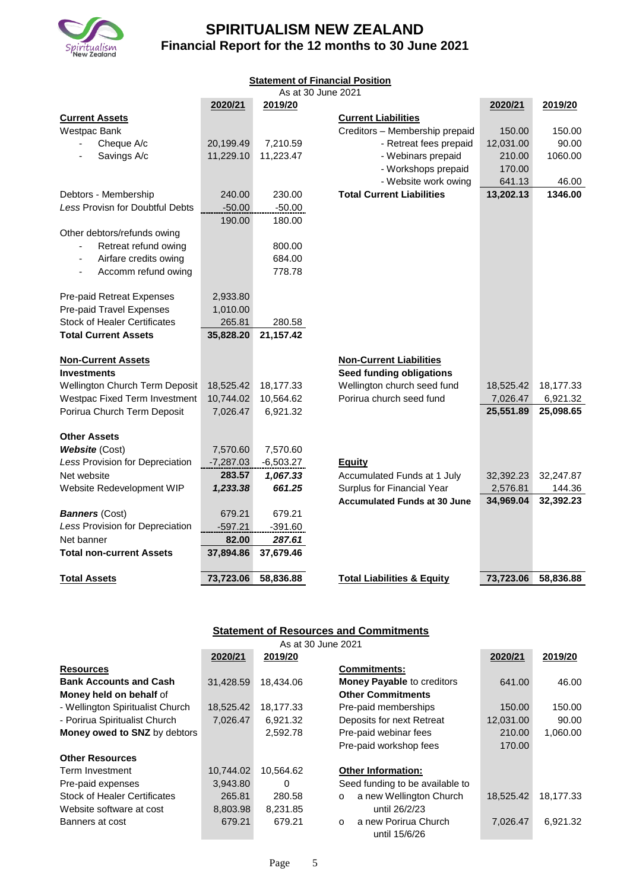

| <b>Statement of Financial Position</b><br>As at 30 June 2021 |             |             |                                       |           |           |
|--------------------------------------------------------------|-------------|-------------|---------------------------------------|-----------|-----------|
|                                                              | 2020/21     | 2019/20     |                                       | 2020/21   | 2019/20   |
| <b>Current Assets</b>                                        |             |             | <b>Current Liabilities</b>            |           |           |
| Westpac Bank                                                 |             |             | Creditors - Membership prepaid        | 150.00    | 150.00    |
| Cheque A/c                                                   | 20,199.49   | 7,210.59    | - Retreat fees prepaid                | 12,031.00 | 90.00     |
| Savings A/c                                                  | 11,229.10   | 11,223.47   | - Webinars prepaid                    | 210.00    | 1060.00   |
|                                                              |             |             | - Workshops prepaid                   | 170.00    |           |
|                                                              |             |             | - Website work owing                  | 641.13    | 46.00     |
| Debtors - Membership                                         | 240.00      | 230.00      | <b>Total Current Liabilities</b>      | 13,202.13 | 1346.00   |
| Less Provisn for Doubtful Debts                              | $-50.00$    | $-50.00$    |                                       |           |           |
|                                                              | 190.00      | 180.00      |                                       |           |           |
| Other debtors/refunds owing                                  |             |             |                                       |           |           |
| Retreat refund owing                                         |             | 800.00      |                                       |           |           |
| Airfare credits owing<br>$\tilde{\phantom{a}}$               |             | 684.00      |                                       |           |           |
| Accomm refund owing                                          |             | 778.78      |                                       |           |           |
|                                                              |             |             |                                       |           |           |
| Pre-paid Retreat Expenses                                    | 2,933.80    |             |                                       |           |           |
| Pre-paid Travel Expenses                                     | 1,010.00    |             |                                       |           |           |
| <b>Stock of Healer Certificates</b>                          | 265.81      | 280.58      |                                       |           |           |
| <b>Total Current Assets</b>                                  | 35,828.20   | 21,157.42   |                                       |           |           |
| <b>Non-Current Assets</b>                                    |             |             | <b>Non-Current Liabilities</b>        |           |           |
| <b>Investments</b>                                           |             |             | <b>Seed funding obligations</b>       |           |           |
| Wellington Church Term Deposit                               | 18,525.42   | 18,177.33   | Wellington church seed fund           | 18,525.42 | 18,177.33 |
| Westpac Fixed Term Investment                                | 10,744.02   | 10,564.62   | Porirua church seed fund              | 7,026.47  | 6,921.32  |
| Porirua Church Term Deposit                                  | 7,026.47    | 6,921.32    |                                       | 25,551.89 | 25,098.65 |
|                                                              |             |             |                                       |           |           |
| <b>Other Assets</b>                                          |             |             |                                       |           |           |
| <b>Website (Cost)</b>                                        | 7,570.60    | 7,570.60    |                                       |           |           |
| Less Provision for Depreciation                              | $-7,287.03$ | $-6,503.27$ | Equity                                |           |           |
| Net website                                                  | 283.57      | 1,067.33    | Accumulated Funds at 1 July           | 32,392.23 | 32,247.87 |
| Website Redevelopment WIP                                    | 1,233.38    | 661.25      | Surplus for Financial Year            | 2,576.81  | 144.36    |
|                                                              |             |             | <b>Accumulated Funds at 30 June</b>   | 34,969.04 | 32,392.23 |
| <b>Banners (Cost)</b>                                        | 679.21      | 679.21      |                                       |           |           |
| Less Provision for Depreciation                              | $-597.21$   | $-391.60$   |                                       |           |           |
| Net banner                                                   | 82.00       | 287.61      |                                       |           |           |
| <b>Total non-current Assets</b>                              | 37,894.86   | 37,679.46   |                                       |           |           |
| <b>Total Assets</b>                                          | 73,723.06   | 58,836.88   | <b>Total Liabilities &amp; Equity</b> | 73,723.06 | 58,836.88 |
|                                                              |             |             |                                       |           |           |

# **Statement of Resources and Commitments**

| As at 30 June 2021                  |           |           |                                    |           |           |
|-------------------------------------|-----------|-----------|------------------------------------|-----------|-----------|
|                                     | 2020/21   | 2019/20   |                                    | 2020/21   | 2019/20   |
| <b>Resources</b>                    |           |           | <b>Commitments:</b>                |           |           |
| <b>Bank Accounts and Cash</b>       | 31,428.59 | 18.434.06 | <b>Money Payable to creditors</b>  | 641.00    | 46.00     |
| Money held on behalf of             |           |           | <b>Other Commitments</b>           |           |           |
| - Wellington Spiritualist Church    | 18,525.42 | 18,177.33 | Pre-paid memberships               | 150.00    | 150.00    |
| - Porirua Spiritualist Church       | 7,026.47  | 6,921.32  | Deposits for next Retreat          | 12,031.00 | 90.00     |
| Money owed to SNZ by debtors        |           | 2,592.78  | Pre-paid webinar fees              | 210.00    | 1,060.00  |
|                                     |           |           | Pre-paid workshop fees             | 170.00    |           |
| <b>Other Resources</b>              |           |           |                                    |           |           |
| Term Investment                     | 10,744.02 | 10,564.62 | <b>Other Information:</b>          |           |           |
| Pre-paid expenses                   | 3,943.80  | $\Omega$  | Seed funding to be available to    |           |           |
| <b>Stock of Healer Certificates</b> | 265.81    | 280.58    | a new Wellington Church<br>$\circ$ | 18,525.42 | 18,177.33 |
| Website software at cost            | 8,803.98  | 8,231.85  | until 26/2/23                      |           |           |
| Banners at cost                     | 679.21    | 679.21    | a new Porirua Church<br>$\Omega$   | 7.026.47  | 6.921.32  |
|                                     |           |           | until 15/6/26                      |           |           |